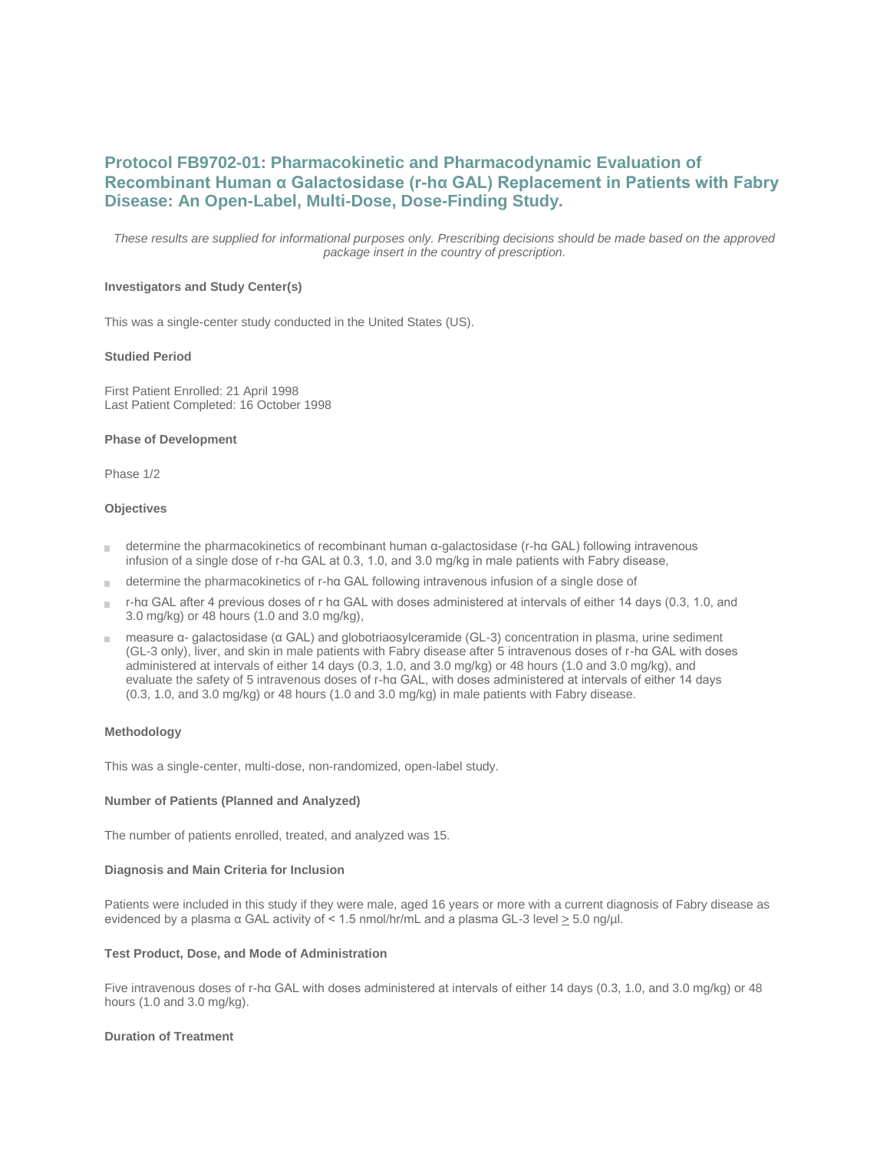# **Protocol FB9702-01: Pharmacokinetic and Pharmacodynamic Evaluation of Recombinant Human α Galactosidase (r-hα GAL) Replacement in Patients with Fabry Disease: An Open-Label, Multi-Dose, Dose-Finding Study.**

*These results are supplied for informational purposes only. Prescribing decisions should be made based on the approved package insert in the country of prescription.*

# **Investigators and Study Center(s)**

This was a single-center study conducted in the United States (US).

# **Studied Period**

First Patient Enrolled: 21 April 1998 Last Patient Completed: 16 October 1998

## **Phase of Development**

Phase 1/2

#### **Objectives**

- determine the pharmacokinetics of recombinant human α-galactosidase (r-hα GAL) following intravenous a. infusion of a single dose of r-hα GAL at 0.3, 1.0, and 3.0 mg/kg in male patients with Fabry disease,
- determine the pharmacokinetics of r-hα GAL following intravenous infusion of a single dose of
- r-hα GAL after 4 previous doses of r hα GAL with doses administered at intervals of either 14 days (0.3, 1.0, and 3.0 mg/kg) or 48 hours (1.0 and 3.0 mg/kg),
- measure α- galactosidase (α GAL) and globotriaosylceramide (GL-3) concentration in plasma, urine sediment (GL-3 only), liver, and skin in male patients with Fabry disease after 5 intravenous doses of r-hα GAL with doses administered at intervals of either 14 days (0.3, 1.0, and 3.0 mg/kg) or 48 hours (1.0 and 3.0 mg/kg), and evaluate the safety of 5 intravenous doses of r-hα GAL, with doses administered at intervals of either 14 days (0.3, 1.0, and 3.0 mg/kg) or 48 hours (1.0 and 3.0 mg/kg) in male patients with Fabry disease.

### **Methodology**

This was a single-center, multi-dose, non-randomized, open-label study.

#### **Number of Patients (Planned and Analyzed)**

The number of patients enrolled, treated, and analyzed was 15.

### **Diagnosis and Main Criteria for Inclusion**

Patients were included in this study if they were male, aged 16 years or more with a current diagnosis of Fabry disease as evidenced by a plasma α GAL activity of < 1.5 nmol/hr/mL and a plasma GL-3 level  $\geq 5.0$  ng/μl.

#### **Test Product, Dose, and Mode of Administration**

Five intravenous doses of r-hα GAL with doses administered at intervals of either 14 days (0.3, 1.0, and 3.0 mg/kg) or 48 hours (1.0 and 3.0 mg/kg).

#### **Duration of Treatment**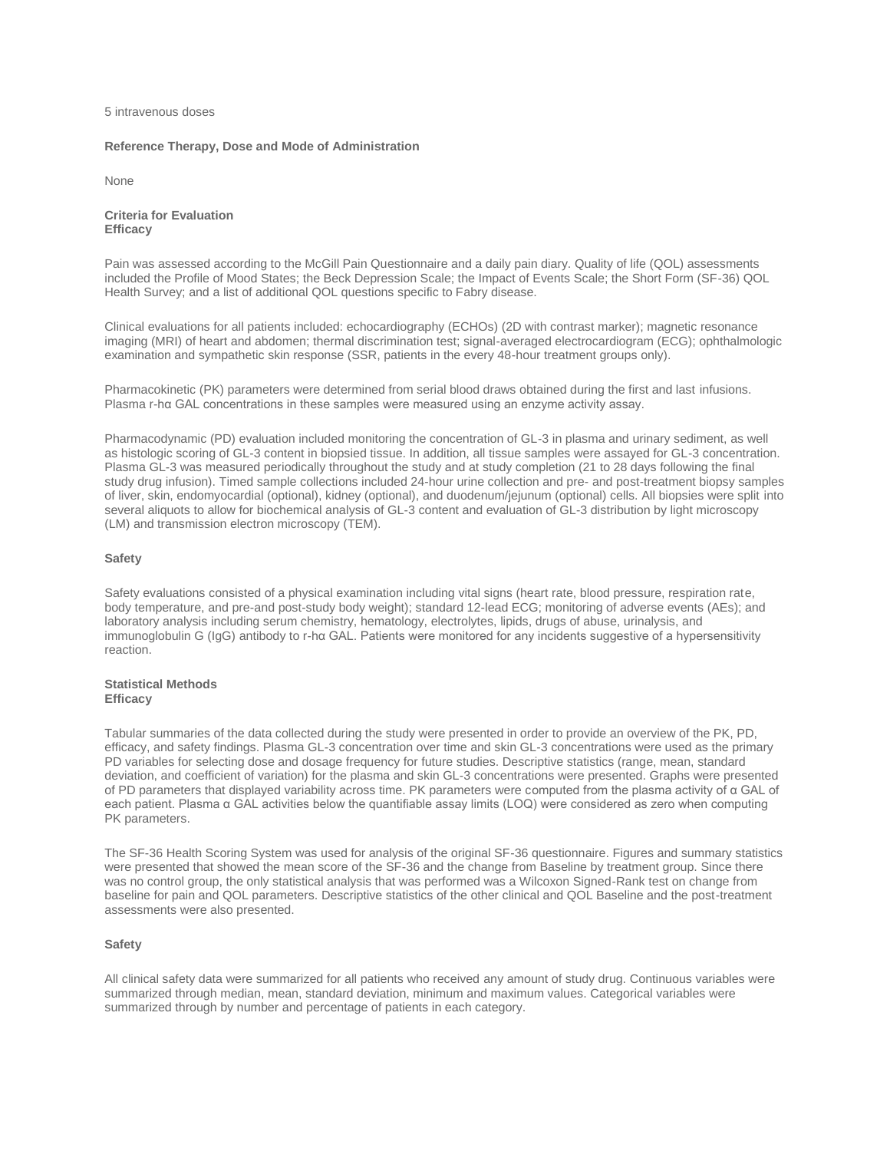### 5 intravenous doses

### **Reference Therapy, Dose and Mode of Administration**

None

# **Criteria for Evaluation Efficacy**

Pain was assessed according to the McGill Pain Questionnaire and a daily pain diary. Quality of life (QOL) assessments included the Profile of Mood States; the Beck Depression Scale; the Impact of Events Scale; the Short Form (SF-36) QOL Health Survey; and a list of additional QOL questions specific to Fabry disease.

Clinical evaluations for all patients included: echocardiography (ECHOs) (2D with contrast marker); magnetic resonance imaging (MRI) of heart and abdomen; thermal discrimination test; signal-averaged electrocardiogram (ECG); ophthalmologic examination and sympathetic skin response (SSR, patients in the every 48-hour treatment groups only).

Pharmacokinetic (PK) parameters were determined from serial blood draws obtained during the first and last infusions. Plasma r-hα GAL concentrations in these samples were measured using an enzyme activity assay.

Pharmacodynamic (PD) evaluation included monitoring the concentration of GL-3 in plasma and urinary sediment, as well as histologic scoring of GL-3 content in biopsied tissue. In addition, all tissue samples were assayed for GL-3 concentration. Plasma GL-3 was measured periodically throughout the study and at study completion (21 to 28 days following the final study drug infusion). Timed sample collections included 24-hour urine collection and pre- and post-treatment biopsy samples of liver, skin, endomyocardial (optional), kidney (optional), and duodenum/jejunum (optional) cells. All biopsies were split into several aliquots to allow for biochemical analysis of GL-3 content and evaluation of GL-3 distribution by light microscopy (LM) and transmission electron microscopy (TEM).

# **Safety**

Safety evaluations consisted of a physical examination including vital signs (heart rate, blood pressure, respiration rate, body temperature, and pre-and post-study body weight); standard 12-lead ECG; monitoring of adverse events (AEs); and laboratory analysis including serum chemistry, hematology, electrolytes, lipids, drugs of abuse, urinalysis, and immunoglobulin G (IgG) antibody to r-hα GAL. Patients were monitored for any incidents suggestive of a hypersensitivity reaction.

## **Statistical Methods Efficacy**

Tabular summaries of the data collected during the study were presented in order to provide an overview of the PK, PD, efficacy, and safety findings. Plasma GL-3 concentration over time and skin GL-3 concentrations were used as the primary PD variables for selecting dose and dosage frequency for future studies. Descriptive statistics (range, mean, standard deviation, and coefficient of variation) for the plasma and skin GL-3 concentrations were presented. Graphs were presented of PD parameters that displayed variability across time. PK parameters were computed from the plasma activity of α GAL of each patient. Plasma α GAL activities below the quantifiable assay limits (LOQ) were considered as zero when computing PK parameters.

The SF-36 Health Scoring System was used for analysis of the original SF-36 questionnaire. Figures and summary statistics were presented that showed the mean score of the SF-36 and the change from Baseline by treatment group. Since there was no control group, the only statistical analysis that was performed was a Wilcoxon Signed-Rank test on change from baseline for pain and QOL parameters. Descriptive statistics of the other clinical and QOL Baseline and the post-treatment assessments were also presented.

# **Safety**

All clinical safety data were summarized for all patients who received any amount of study drug. Continuous variables were summarized through median, mean, standard deviation, minimum and maximum values. Categorical variables were summarized through by number and percentage of patients in each category.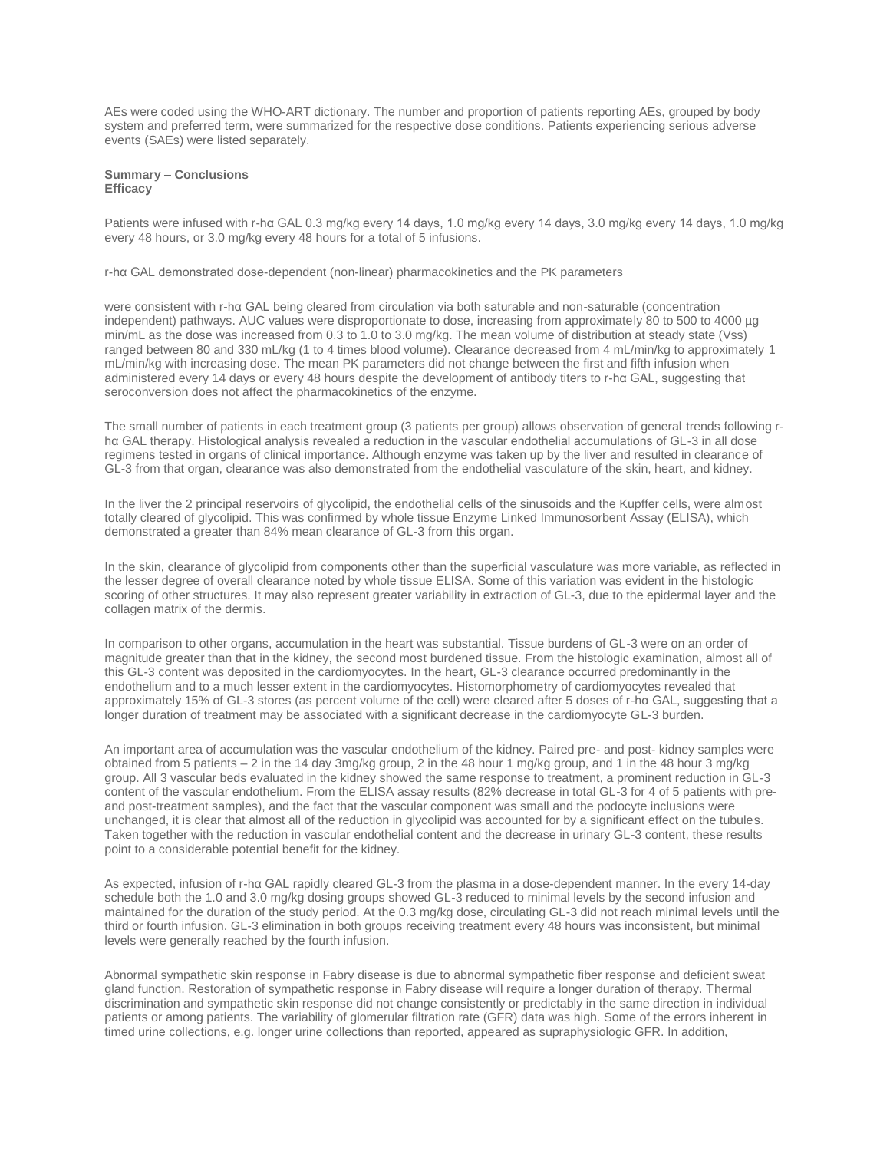AEs were coded using the WHO-ART dictionary. The number and proportion of patients reporting AEs, grouped by body system and preferred term, were summarized for the respective dose conditions. Patients experiencing serious adverse events (SAEs) were listed separately.

# **Summary – Conclusions Efficacy**

Patients were infused with r-hα GAL 0.3 mg/kg every 14 days, 1.0 mg/kg every 14 days, 3.0 mg/kg every 14 days, 1.0 mg/kg every 48 hours, or 3.0 mg/kg every 48 hours for a total of 5 infusions.

r-hα GAL demonstrated dose-dependent (non-linear) pharmacokinetics and the PK parameters

were consistent with r-hα GAL being cleared from circulation via both saturable and non-saturable (concentration independent) pathways. AUC values were disproportionate to dose, increasing from approximately 80 to 500 to 4000 µg min/mL as the dose was increased from 0.3 to 1.0 to 3.0 mg/kg. The mean volume of distribution at steady state (Vss) ranged between 80 and 330 mL/kg (1 to 4 times blood volume). Clearance decreased from 4 mL/min/kg to approximately 1 mL/min/kg with increasing dose. The mean PK parameters did not change between the first and fifth infusion when administered every 14 days or every 48 hours despite the development of antibody titers to r-hα GAL, suggesting that seroconversion does not affect the pharmacokinetics of the enzyme.

The small number of patients in each treatment group (3 patients per group) allows observation of general trends following rhα GAL therapy. Histological analysis revealed a reduction in the vascular endothelial accumulations of GL-3 in all dose regimens tested in organs of clinical importance. Although enzyme was taken up by the liver and resulted in clearance of GL-3 from that organ, clearance was also demonstrated from the endothelial vasculature of the skin, heart, and kidney.

In the liver the 2 principal reservoirs of glycolipid, the endothelial cells of the sinusoids and the Kupffer cells, were almost totally cleared of glycolipid. This was confirmed by whole tissue Enzyme Linked Immunosorbent Assay (ELISA), which demonstrated a greater than 84% mean clearance of GL-3 from this organ.

In the skin, clearance of glycolipid from components other than the superficial vasculature was more variable, as reflected in the lesser degree of overall clearance noted by whole tissue ELISA. Some of this variation was evident in the histologic scoring of other structures. It may also represent greater variability in extraction of GL-3, due to the epidermal layer and the collagen matrix of the dermis.

In comparison to other organs, accumulation in the heart was substantial. Tissue burdens of GL-3 were on an order of magnitude greater than that in the kidney, the second most burdened tissue. From the histologic examination, almost all of this GL-3 content was deposited in the cardiomyocytes. In the heart, GL-3 clearance occurred predominantly in the endothelium and to a much lesser extent in the cardiomyocytes. Histomorphometry of cardiomyocytes revealed that approximately 15% of GL-3 stores (as percent volume of the cell) were cleared after 5 doses of r-hα GAL, suggesting that a longer duration of treatment may be associated with a significant decrease in the cardiomyocyte GL-3 burden.

An important area of accumulation was the vascular endothelium of the kidney. Paired pre- and post- kidney samples were obtained from 5 patients – 2 in the 14 day 3mg/kg group, 2 in the 48 hour 1 mg/kg group, and 1 in the 48 hour 3 mg/kg group. All 3 vascular beds evaluated in the kidney showed the same response to treatment, a prominent reduction in GL-3 content of the vascular endothelium. From the ELISA assay results (82% decrease in total GL-3 for 4 of 5 patients with preand post-treatment samples), and the fact that the vascular component was small and the podocyte inclusions were unchanged, it is clear that almost all of the reduction in glycolipid was accounted for by a significant effect on the tubules. Taken together with the reduction in vascular endothelial content and the decrease in urinary GL-3 content, these results point to a considerable potential benefit for the kidney.

As expected, infusion of r-hα GAL rapidly cleared GL-3 from the plasma in a dose-dependent manner. In the every 14-day schedule both the 1.0 and 3.0 mg/kg dosing groups showed GL-3 reduced to minimal levels by the second infusion and maintained for the duration of the study period. At the 0.3 mg/kg dose, circulating GL-3 did not reach minimal levels until the third or fourth infusion. GL-3 elimination in both groups receiving treatment every 48 hours was inconsistent, but minimal levels were generally reached by the fourth infusion.

Abnormal sympathetic skin response in Fabry disease is due to abnormal sympathetic fiber response and deficient sweat gland function. Restoration of sympathetic response in Fabry disease will require a longer duration of therapy. Thermal discrimination and sympathetic skin response did not change consistently or predictably in the same direction in individual patients or among patients. The variability of glomerular filtration rate (GFR) data was high. Some of the errors inherent in timed urine collections, e.g. longer urine collections than reported, appeared as supraphysiologic GFR. In addition,